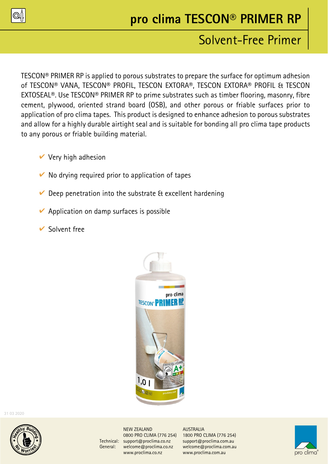

# **pro clima TESCON® PRIMER RP**

## Solvent-Free Primer

TESCON® PRIMER RP is applied to porous substrates to prepare the surface for optimum adhesion of TESCON® VANA, TESCON® PROFIL, TESCON EXTORA®, TESCON EXTORA® PROFIL & TESCON EXTOSEAL®. Use TESCON® PRIMER RP to prime substrates such as timber flooring, masonry, fibre cement, plywood, oriented strand board (OSB), and other porous or friable surfaces prior to application of pro clima tapes. This product is designed to enhance adhesion to porous substrates and allow for a highly durable airtight seal and is suitable for bonding all pro clima tape products to any porous or friable building material.

- $\vee$  Very high adhesion
- $\vee$  No drying required prior to application of tapes
- $\vee$  Deep penetration into the substrate & excellent hardening
- $\vee$  Application on damp surfaces is possible
- $\vee$  Solvent free



31 03 2020



NEW ZEALAND AUSTRALIA Technical: support@proclima.co.nz support@proclima.com.au General: welcome@proclima.co.nz welcome@proclima.com.au www.proclima.co.nz www.proclima.com.au

0800 PRO CLIMA (776 254) 1800 PRO CLIMA (776 254)